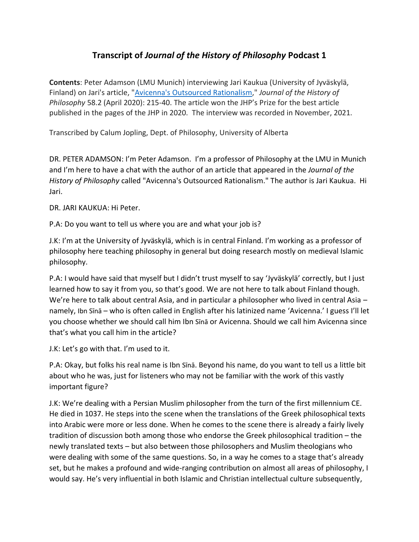## **Transcript of** *Journal of the History of Philosophy* **Podcast 1**

**Contents**: Peter Adamson (LMU Munich) interviewing Jari Kaukua (University of Jyväskylä, Finland) on Jari's article, ["Avicenna's Outsourced Rationalism,](https://muse.jhu.edu/article/752857)" *Journal of the History of Philosophy* 58.2 (April 2020): 215-40. The article won the JHP's Prize for the best article published in the pages of the JHP in 2020. The interview was recorded in November, 2021.

Transcribed by Calum Jopling, Dept. of Philosophy, University of Alberta

DR. PETER ADAMSON: I'm Peter Adamson. I'm a professor of Philosophy at the LMU in Munich and I'm here to have a chat with the author of an article that appeared in the *Journal of the History of Philosophy* called "Avicenna's Outsourced Rationalism." The author is Jari Kaukua. Hi Jari.

DR. JARI KAUKUA: Hi Peter.

P.A: Do you want to tell us where you are and what your job is?

J.K: I'm at the University of Jyväskylä, which is in central Finland. I'm working as a professor of philosophy here teaching philosophy in general but doing research mostly on medieval Islamic philosophy.

P.A: I would have said that myself but I didn't trust myself to say 'Jyväskylä' correctly, but I just learned how to say it from you, so that's good. We are not here to talk about Finland though. We're here to talk about central Asia, and in particular a philosopher who lived in central Asia – namely, Ibn Sīnā – who is often called in English after his latinized name 'Avicenna.' I guess I'll let you choose whether we should call him Ibn Sīnā or Avicenna. Should we call him Avicenna since that's what you call him in the article?

J.K: Let's go with that. I'm used to it.

P.A: Okay, but folks his real name is Ibn Sīnā. Beyond his name, do you want to tell us a little bit about who he was, just for listeners who may not be familiar with the work of this vastly important figure?

J.K: We're dealing with a Persian Muslim philosopher from the turn of the first millennium CE. He died in 1037. He steps into the scene when the translations of the Greek philosophical texts into Arabic were more or less done. When he comes to the scene there is already a fairly lively tradition of discussion both among those who endorse the Greek philosophical tradition – the newly translated texts – but also between those philosophers and Muslim theologians who were dealing with some of the same questions. So, in a way he comes to a stage that's already set, but he makes a profound and wide-ranging contribution on almost all areas of philosophy, I would say. He's very influential in both Islamic and Christian intellectual culture subsequently,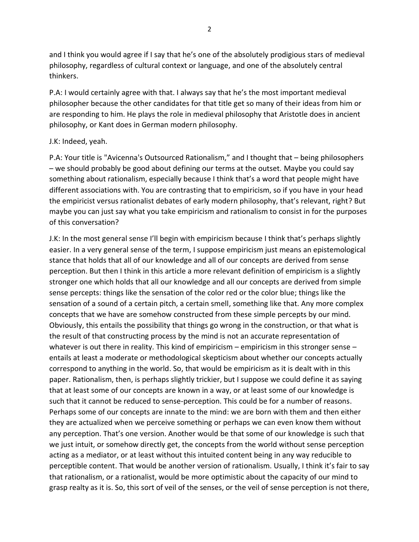and I think you would agree if I say that he's one of the absolutely prodigious stars of medieval philosophy, regardless of cultural context or language, and one of the absolutely central thinkers.

P.A: I would certainly agree with that. I always say that he's the most important medieval philosopher because the other candidates for that title get so many of their ideas from him or are responding to him. He plays the role in medieval philosophy that Aristotle does in ancient philosophy, or Kant does in German modern philosophy.

## J.K: Indeed, yeah.

P.A: Your title is "Avicenna's Outsourced Rationalism," and I thought that – being philosophers – we should probably be good about defining our terms at the outset. Maybe you could say something about rationalism, especially because I think that's a word that people might have different associations with. You are contrasting that to empiricism, so if you have in your head the empiricist versus rationalist debates of early modern philosophy, that's relevant, right? But maybe you can just say what you take empiricism and rationalism to consist in for the purposes of this conversation?

J.K: In the most general sense I'll begin with empiricism because I think that's perhaps slightly easier. In a very general sense of the term, I suppose empiricism just means an epistemological stance that holds that all of our knowledge and all of our concepts are derived from sense perception. But then I think in this article a more relevant definition of empiricism is a slightly stronger one which holds that all our knowledge and all our concepts are derived from simple sense percepts: things like the sensation of the color red or the color blue; things like the sensation of a sound of a certain pitch, a certain smell, something like that. Any more complex concepts that we have are somehow constructed from these simple percepts by our mind. Obviously, this entails the possibility that things go wrong in the construction, or that what is the result of that constructing process by the mind is not an accurate representation of whatever is out there in reality. This kind of empiricism – empiricism in this stronger sense – entails at least a moderate or methodological skepticism about whether our concepts actually correspond to anything in the world. So, that would be empiricism as it is dealt with in this paper. Rationalism, then, is perhaps slightly trickier, but I suppose we could define it as saying that at least some of our concepts are known in a way, or at least some of our knowledge is such that it cannot be reduced to sense-perception. This could be for a number of reasons. Perhaps some of our concepts are innate to the mind: we are born with them and then either they are actualized when we perceive something or perhaps we can even know them without any perception. That's one version. Another would be that some of our knowledge is such that we just intuit, or somehow directly get, the concepts from the world without sense perception acting as a mediator, or at least without this intuited content being in any way reducible to perceptible content. That would be another version of rationalism. Usually, I think it's fair to say that rationalism, or a rationalist, would be more optimistic about the capacity of our mind to grasp realty as it is. So, this sort of veil of the senses, or the veil of sense perception is not there,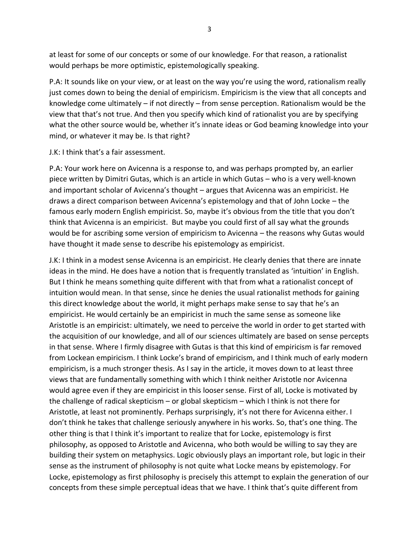at least for some of our concepts or some of our knowledge. For that reason, a rationalist would perhaps be more optimistic, epistemologically speaking.

P.A: It sounds like on your view, or at least on the way you're using the word, rationalism really just comes down to being the denial of empiricism. Empiricism is the view that all concepts and knowledge come ultimately – if not directly – from sense perception. Rationalism would be the view that that's not true. And then you specify which kind of rationalist you are by specifying what the other source would be, whether it's innate ideas or God beaming knowledge into your mind, or whatever it may be. Is that right?

J.K: I think that's a fair assessment.

P.A: Your work here on Avicenna is a response to, and was perhaps prompted by, an earlier piece written by Dimitri Gutas, which is an article in which Gutas – who is a very well-known and important scholar of Avicenna's thought – argues that Avicenna was an empiricist. He draws a direct comparison between Avicenna's epistemology and that of John Locke – the famous early modern English empiricist. So, maybe it's obvious from the title that you don't think that Avicenna is an empiricist. But maybe you could first of all say what the grounds would be for ascribing some version of empiricism to Avicenna – the reasons why Gutas would have thought it made sense to describe his epistemology as empiricist.

J.K: I think in a modest sense Avicenna is an empiricist. He clearly denies that there are innate ideas in the mind. He does have a notion that is frequently translated as 'intuition' in English. But I think he means something quite different with that from what a rationalist concept of intuition would mean. In that sense, since he denies the usual rationalist methods for gaining this direct knowledge about the world, it might perhaps make sense to say that he's an empiricist. He would certainly be an empiricist in much the same sense as someone like Aristotle is an empiricist: ultimately, we need to perceive the world in order to get started with the acquisition of our knowledge, and all of our sciences ultimately are based on sense percepts in that sense. Where I firmly disagree with Gutas is that this kind of empiricism is far removed from Lockean empiricism. I think Locke's brand of empiricism, and I think much of early modern empiricism, is a much stronger thesis. As I say in the article, it moves down to at least three views that are fundamentally something with which I think neither Aristotle nor Avicenna would agree even if they are empiricist in this looser sense. First of all, Locke is motivated by the challenge of radical skepticism – or global skepticism – which I think is not there for Aristotle, at least not prominently. Perhaps surprisingly, it's not there for Avicenna either. I don't think he takes that challenge seriously anywhere in his works. So, that's one thing. The other thing is that I think it's important to realize that for Locke, epistemology is first philosophy, as opposed to Aristotle and Avicenna, who both would be willing to say they are building their system on metaphysics. Logic obviously plays an important role, but logic in their sense as the instrument of philosophy is not quite what Locke means by epistemology. For Locke, epistemology as first philosophy is precisely this attempt to explain the generation of our concepts from these simple perceptual ideas that we have. I think that's quite different from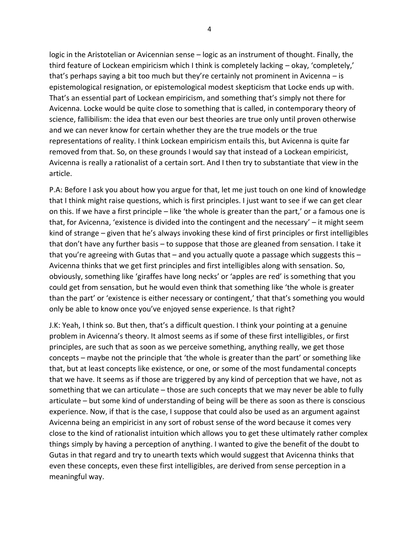logic in the Aristotelian or Avicennian sense – logic as an instrument of thought. Finally, the third feature of Lockean empiricism which I think is completely lacking – okay, 'completely,' that's perhaps saying a bit too much but they're certainly not prominent in Avicenna – is epistemological resignation, or epistemological modest skepticism that Locke ends up with. That's an essential part of Lockean empiricism, and something that's simply not there for Avicenna. Locke would be quite close to something that is called, in contemporary theory of science, fallibilism: the idea that even our best theories are true only until proven otherwise and we can never know for certain whether they are the true models or the true representations of reality. I think Lockean empiricism entails this, but Avicenna is quite far removed from that. So, on these grounds I would say that instead of a Lockean empiricist, Avicenna is really a rationalist of a certain sort. And I then try to substantiate that view in the article.

P.A: Before I ask you about how you argue for that, let me just touch on one kind of knowledge that I think might raise questions, which is first principles. I just want to see if we can get clear on this. If we have a first principle – like 'the whole is greater than the part,' or a famous one is that, for Avicenna, 'existence is divided into the contingent and the necessary' – it might seem kind of strange – given that he's always invoking these kind of first principles or first intelligibles that don't have any further basis – to suppose that those are gleaned from sensation. I take it that you're agreeing with Gutas that – and you actually quote a passage which suggests this – Avicenna thinks that we get first principles and first intelligibles along with sensation. So, obviously, something like 'giraffes have long necks' or 'apples are red' is something that you could get from sensation, but he would even think that something like 'the whole is greater than the part' or 'existence is either necessary or contingent,' that that's something you would only be able to know once you've enjoyed sense experience. Is that right?

J.K: Yeah, I think so. But then, that's a difficult question. I think your pointing at a genuine problem in Avicenna's theory. It almost seems as if some of these first intelligibles, or first principles, are such that as soon as we perceive something, anything really, we get those concepts – maybe not the principle that 'the whole is greater than the part' or something like that, but at least concepts like existence, or one, or some of the most fundamental concepts that we have. It seems as if those are triggered by any kind of perception that we have, not as something that we can articulate – those are such concepts that we may never be able to fully articulate – but some kind of understanding of being will be there as soon as there is conscious experience. Now, if that is the case, I suppose that could also be used as an argument against Avicenna being an empiricist in any sort of robust sense of the word because it comes very close to the kind of rationalist intuition which allows you to get these ultimately rather complex things simply by having a perception of anything. I wanted to give the benefit of the doubt to Gutas in that regard and try to unearth texts which would suggest that Avicenna thinks that even these concepts, even these first intelligibles, are derived from sense perception in a meaningful way.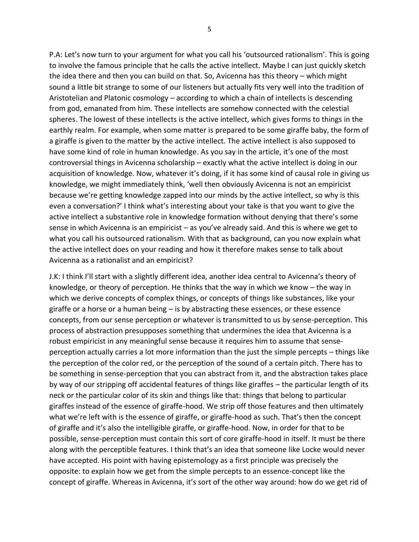P.A: Let's now turn to your argument for what you call his 'outsourced rationalism'. This is going to involve the famous principle that he calls the active intellect. Maybe I can just quickly sketch the idea there and then you can build on that. So, Avicenna has this theory – which might sound a little bit strange to some of our listeners but actually fits very well into the tradition of Aristotelian and Platonic cosmology – according to which a chain of intellects is descending from god, emanated from him. These intellects are somehow connected with the celestial spheres. The lowest of these intellects is the active intellect, which gives forms to things in the earthly realm. For example, when some matter is prepared to be some giraffe baby, the form of a giraffe is given to the matter by the active intellect. The active intellect is also supposed to have some kind of role in human knowledge. As you say in the article, it's one of the most controversial things in Avicenna scholarship – exactly what the active intellect is doing in our acquisition of knowledge. Now, whatever it's doing, if it has some kind of causal role in giving us knowledge, we might immediately think, 'well then obviously Avicenna is not an empiricist because we're getting knowledge zapped into our minds by the active intellect, so why is this even a conversation?' I think what's interesting about your take is that you want to give the active intellect a substantive role in knowledge formation without denying that there's some sense in which Avicenna is an empiricist – as you've already said. And this is where we get to what you call his outsourced rationalism. With that as background, can you now explain what the active intellect does on your reading and how it therefore makes sense to talk about Avicenna as a rationalist and an empiricist?

J.K: I think I'll start with a slightly different idea, another idea central to Avicenna's theory of knowledge, or theory of perception. He thinks that the way in which we know – the way in which we derive concepts of complex things, or concepts of things like substances, like your giraffe or a horse or a human being  $-$  is by abstracting these essences, or these essence concepts, from our sense perception or whatever is transmitted to us by sense-perception. This process of abstraction presupposes something that undermines the idea that Avicenna is a robust empiricist in any meaningful sense because it requires him to assume that senseperception actually carries a lot more information than the just the simple percepts – things like the perception of the color red, or the perception of the sound of a certain pitch. There has to be something in sense-perception that you can abstract from it, and the abstraction takes place by way of our stripping off accidental features of things like giraffes – the particular length of its neck or the particular color of its skin and things like that: things that belong to particular giraffes instead of the essence of giraffe-hood. We strip off those features and then ultimately what we're left with is the essence of giraffe, or giraffe-hood as such. That's then the concept of giraffe and it's also the intelligible giraffe, or giraffe-hood. Now, in order for that to be possible, sense-perception must contain this sort of core giraffe-hood in itself. It must be there along with the perceptible features. I think that's an idea that someone like Locke would never have accepted. His point with having epistemology as a first principle was precisely the opposite: to explain how we get from the simple percepts to an essence-concept like the concept of giraffe. Whereas in Avicenna, it's sort of the other way around: how do we get rid of

5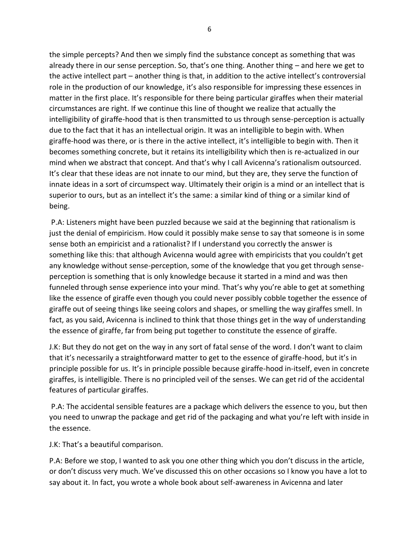the simple percepts? And then we simply find the substance concept as something that was already there in our sense perception. So, that's one thing. Another thing – and here we get to the active intellect part – another thing is that, in addition to the active intellect's controversial role in the production of our knowledge, it's also responsible for impressing these essences in matter in the first place. It's responsible for there being particular giraffes when their material circumstances are right. If we continue this line of thought we realize that actually the intelligibility of giraffe-hood that is then transmitted to us through sense-perception is actually due to the fact that it has an intellectual origin. It was an intelligible to begin with. When giraffe-hood was there, or is there in the active intellect, it's intelligible to begin with. Then it becomes something concrete, but it retains its intelligibility which then is re-actualized in our mind when we abstract that concept. And that's why I call Avicenna's rationalism outsourced. It's clear that these ideas are not innate to our mind, but they are, they serve the function of innate ideas in a sort of circumspect way. Ultimately their origin is a mind or an intellect that is superior to ours, but as an intellect it's the same: a similar kind of thing or a similar kind of being.

P.A: Listeners might have been puzzled because we said at the beginning that rationalism is just the denial of empiricism. How could it possibly make sense to say that someone is in some sense both an empiricist and a rationalist? If I understand you correctly the answer is something like this: that although Avicenna would agree with empiricists that you couldn't get any knowledge without sense-perception, some of the knowledge that you get through senseperception is something that is only knowledge because it started in a mind and was then funneled through sense experience into your mind. That's why you're able to get at something like the essence of giraffe even though you could never possibly cobble together the essence of giraffe out of seeing things like seeing colors and shapes, or smelling the way giraffes smell. In fact, as you said, Avicenna is inclined to think that those things get in the way of understanding the essence of giraffe, far from being put together to constitute the essence of giraffe.

J.K: But they do not get on the way in any sort of fatal sense of the word. I don't want to claim that it's necessarily a straightforward matter to get to the essence of giraffe-hood, but it's in principle possible for us. It's in principle possible because giraffe-hood in-itself, even in concrete giraffes, is intelligible. There is no principled veil of the senses. We can get rid of the accidental features of particular giraffes.

P.A: The accidental sensible features are a package which delivers the essence to you, but then you need to unwrap the package and get rid of the packaging and what you're left with inside in the essence.

J.K: That's a beautiful comparison.

P.A: Before we stop, I wanted to ask you one other thing which you don't discuss in the article, or don't discuss very much. We've discussed this on other occasions so I know you have a lot to say about it. In fact, you wrote a whole book about self-awareness in Avicenna and later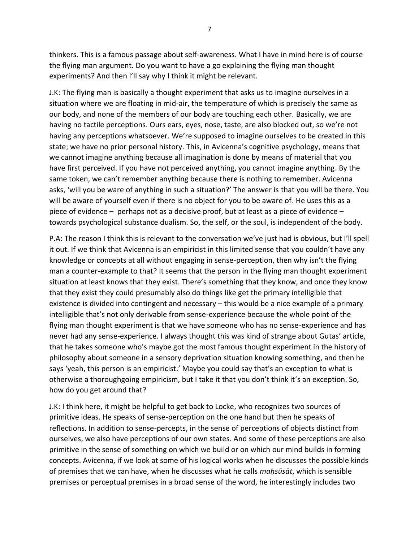thinkers. This is a famous passage about self-awareness. What I have in mind here is of course the flying man argument. Do you want to have a go explaining the flying man thought experiments? And then I'll say why I think it might be relevant.

J.K: The flying man is basically a thought experiment that asks us to imagine ourselves in a situation where we are floating in mid-air, the temperature of which is precisely the same as our body, and none of the members of our body are touching each other. Basically, we are having no tactile perceptions. Ours ears, eyes, nose, taste, are also blocked out, so we're not having any perceptions whatsoever. We're supposed to imagine ourselves to be created in this state; we have no prior personal history. This, in Avicenna's cognitive psychology, means that we cannot imagine anything because all imagination is done by means of material that you have first perceived. If you have not perceived anything, you cannot imagine anything. By the same token, we can't remember anything because there is nothing to remember. Avicenna asks, 'will you be ware of anything in such a situation?' The answer is that you will be there. You will be aware of yourself even if there is no object for you to be aware of. He uses this as a piece of evidence – perhaps not as a decisive proof, but at least as a piece of evidence – towards psychological substance dualism. So, the self, or the soul, is independent of the body.

P.A: The reason I think this is relevant to the conversation we've just had is obvious, but I'll spell it out. If we think that Avicenna is an empiricist in this limited sense that you couldn't have any knowledge or concepts at all without engaging in sense-perception, then why isn't the flying man a counter-example to that? It seems that the person in the flying man thought experiment situation at least knows that they exist. There's something that they know, and once they know that they exist they could presumably also do things like get the primary intelligible that existence is divided into contingent and necessary – this would be a nice example of a primary intelligible that's not only derivable from sense-experience because the whole point of the flying man thought experiment is that we have someone who has no sense-experience and has never had any sense-experience. I always thought this was kind of strange about Gutas' article, that he takes someone who's maybe got the most famous thought experiment in the history of philosophy about someone in a sensory deprivation situation knowing something, and then he says 'yeah, this person is an empiricist.' Maybe you could say that's an exception to what is otherwise a thoroughgoing empiricism, but I take it that you don't think it's an exception. So, how do you get around that?

J.K: I think here, it might be helpful to get back to Locke, who recognizes two sources of primitive ideas. He speaks of sense-perception on the one hand but then he speaks of reflections. In addition to sense-percepts, in the sense of perceptions of objects distinct from ourselves, we also have perceptions of our own states. And some of these perceptions are also primitive in the sense of something on which we build or on which our mind builds in forming concepts. Avicenna, if we look at some of his logical works when he discusses the possible kinds of premises that we can have, when he discusses what he calls *maḥsūsāt*, which is sensible premises or perceptual premises in a broad sense of the word, he interestingly includes two